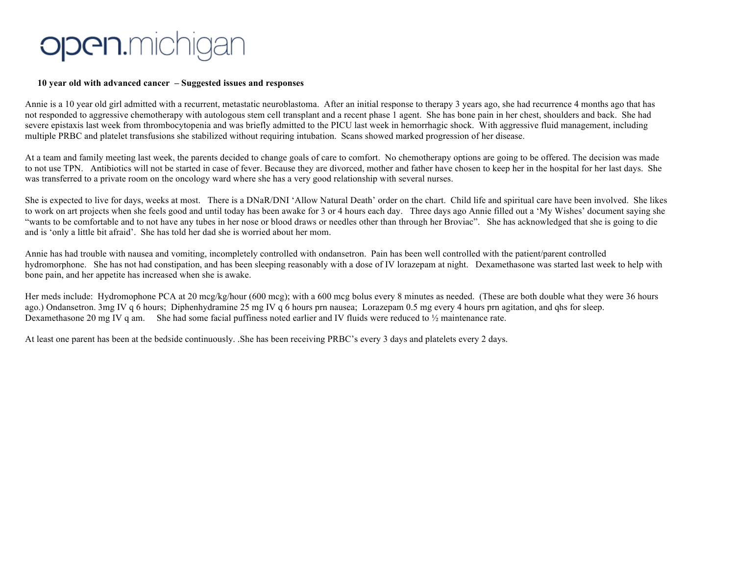## open.mich

## **10 year old with advanced cancer – Suggested issues and responses**

Annie is a 10 year old girl admitted with a recurrent, metastatic neuroblastoma. After an initial response to therapy 3 years ago, she had recurrence 4 months ago that has not responded to aggressive chemotherapy with autologous stem cell transplant and a recent phase 1 agent. She has bone pain in her chest, shoulders and back. She had severe epistaxis last week from thrombocytopenia and was briefly admitted to the PICU last week in hemorrhagic shock. With aggressive fluid management, including multiple PRBC and platelet transfusions she stabilized without requiring intubation. Scans showed marked progression of her disease.

At a team and family meeting last week, the parents decided to change goals of care to comfort. No chemotherapy options are going to be offered. The decision was made to not use TPN. Antibiotics will not be started in case of fever. Because they are divorced, mother and father have chosen to keep her in the hospital for her last days. She was transferred to a private room on the oncology ward where she has a very good relationship with several nurses.

She is expected to live for days, weeks at most. There is a DNaR/DNI 'Allow Natural Death' order on the chart. Child life and spiritual care have been involved. She likes to work on art projects when she feels good and until today has been awake for 3 or 4 hours each day. Three days ago Annie filled out a 'My Wishes' document saying she "wants to be comfortable and to not have any tubes in her nose or blood draws or needles other than through her Broviac". She has acknowledged that she is going to die and is 'only a little bit afraid'. She has told her dad she is worried about her mom.

Annie has had trouble with nausea and vomiting, incompletely controlled with ondansetron. Pain has been well controlled with the patient/parent controlled hydromorphone. She has not had constipation, and has been sleeping reasonably with a dose of IV lorazepam at night. Dexamethasone was started last week to help with bone pain, and her appetite has increased when she is awake.

Her meds include: Hydromophone PCA at 20 mcg/kg/hour (600 mcg); with a 600 mcg bolus every 8 minutes as needed. (These are both double what they were 36 hours ago.) Ondansetron. 3mg IV q 6 hours; Diphenhydramine 25 mg IV q 6 hours prn nausea; Lorazepam 0.5 mg every 4 hours prn agitation, and qhs for sleep. Dexamethasone 20 mg IV q am. She had some facial puffiness noted earlier and IV fluids were reduced to  $\frac{1}{2}$  maintenance rate.

At least one parent has been at the bedside continuously. .She has been receiving PRBC's every 3 days and platelets every 2 days.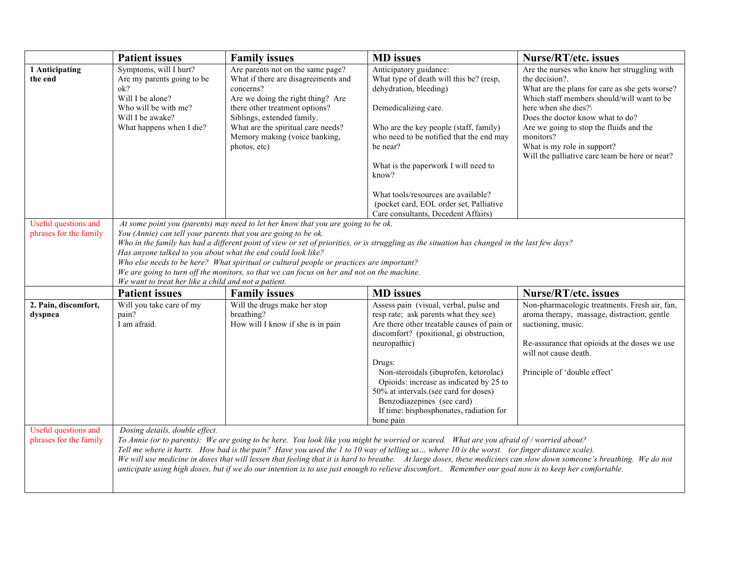|                                                | <b>Patient issues</b>                                                                                                                                                                                                                                                                                                                                                                                                                                                                                                             | <b>Family issues</b>                                                                                                                                                                                                                                                              | <b>MD</b> issues                                                                                                                                                                                                                                                                                                                                                                                                                                 | Nurse/RT/etc. issues                                                                                                                                                                                                                                                                                                                                               |
|------------------------------------------------|-----------------------------------------------------------------------------------------------------------------------------------------------------------------------------------------------------------------------------------------------------------------------------------------------------------------------------------------------------------------------------------------------------------------------------------------------------------------------------------------------------------------------------------|-----------------------------------------------------------------------------------------------------------------------------------------------------------------------------------------------------------------------------------------------------------------------------------|--------------------------------------------------------------------------------------------------------------------------------------------------------------------------------------------------------------------------------------------------------------------------------------------------------------------------------------------------------------------------------------------------------------------------------------------------|--------------------------------------------------------------------------------------------------------------------------------------------------------------------------------------------------------------------------------------------------------------------------------------------------------------------------------------------------------------------|
| 1 Anticipating<br>the end                      | Symptoms, will I hurt?<br>Are my parents going to be<br>ok?<br>Will I be alone?<br>Who will be with me?<br>Will I be awake?<br>What happens when I die?                                                                                                                                                                                                                                                                                                                                                                           | Are parents not on the same page?<br>What if there are disagreements and<br>concerns?<br>Are we doing the right thing? Are<br>there other treatment options?<br>Siblings, extended family.<br>What are the spiritual care needs?<br>Memory making (voice banking,<br>photos, etc) | Anticipatory guidance:<br>What type of death will this be? (resp,<br>dehydration, bleeding)<br>Demedicalizing care.<br>Who are the key people (staff, family)<br>who need to be notified that the end may<br>be near?<br>What is the paperwork I will need to<br>know?<br>What tools/resources are available?<br>(pocket card, EOL order set, Palliative                                                                                         | Are the nurses who know her struggling with<br>the decision?.<br>What are the plans for care as she gets worse?<br>Which staff members should/will want to be<br>here when she dies?\<br>Does the doctor know what to do?<br>Are we going to stop the fluids and the<br>monitors?<br>What is my role in support?<br>Will the palliative care team be here or near? |
| Useful questions and                           |                                                                                                                                                                                                                                                                                                                                                                                                                                                                                                                                   | At some point you (parents) may need to let her know that you are going to be ok.                                                                                                                                                                                                 | Care consultants, Decedent Affairs)                                                                                                                                                                                                                                                                                                                                                                                                              |                                                                                                                                                                                                                                                                                                                                                                    |
| phrases for the family                         | You (Annie) can tell your parents that you are going to be ok.<br>Who in the family has had a different point of view or set of priorities, or is struggling as the situation has changed in the last few days?<br>Has anyone talked to you about what the end could look like?<br>Who else needs to be here? What spiritual or cultural people or practices are important?<br>We are going to turn off the monitors, so that we can focus on her and not on the machine.<br>We want to treat her like a child and not a patient. |                                                                                                                                                                                                                                                                                   |                                                                                                                                                                                                                                                                                                                                                                                                                                                  |                                                                                                                                                                                                                                                                                                                                                                    |
|                                                | <b>Patient issues</b>                                                                                                                                                                                                                                                                                                                                                                                                                                                                                                             | <b>Family issues</b>                                                                                                                                                                                                                                                              | <b>MD</b> issues                                                                                                                                                                                                                                                                                                                                                                                                                                 | <b>Nurse/RT/etc. issues</b>                                                                                                                                                                                                                                                                                                                                        |
| 2. Pain, discomfort,<br>dyspnea                | Will you take care of my<br>pain?<br>I am afraid.                                                                                                                                                                                                                                                                                                                                                                                                                                                                                 | Will the drugs make her stop<br>breathing?<br>How will I know if she is in pain                                                                                                                                                                                                   | Assess pain (visual, verbal, pulse and<br>resp rate; ask parents what they see)<br>Are there other treatable causes of pain or<br>discomfort? (positional, gi obstruction,<br>neuropathic)<br>Drugs:<br>Non-steroidals (ibuprofen, ketorolac)<br>Opioids: increase as indicated by 25 to<br>50% at intervals.(see card for doses)<br>Benzodiazepines (see card)<br>If time: bisphosphonates, radiation for<br>bone pain                          | Non-pharmacologic treatments. Fresh air, fan,<br>aroma therapy, massage, distraction, gentle<br>suctioning, music.<br>Re-assurance that opioids at the doses we use<br>will not cause death.<br>Principle of 'double effect'                                                                                                                                       |
| Useful questions and<br>phrases for the family | Dosing details, double effect.                                                                                                                                                                                                                                                                                                                                                                                                                                                                                                    |                                                                                                                                                                                                                                                                                   | To Annie (or to parents): We are going to be here. You look like you might be worried or scared. What are you afraid of / worried about?<br>Tell me where it hurts. How bad is the pain? Have you used the 1 to 10 way of telling us where 10 is the worst. (or finger distance scale).<br>anticipate using high doses, but if we do our intention is to use just enough to relieve discomfort Remember our goal now is to keep her comfortable. | We will use medicine in doses that will lessen that feeling that it is hard to breathe. At large doses, these medicines can slow down someone's breathing. We do not                                                                                                                                                                                               |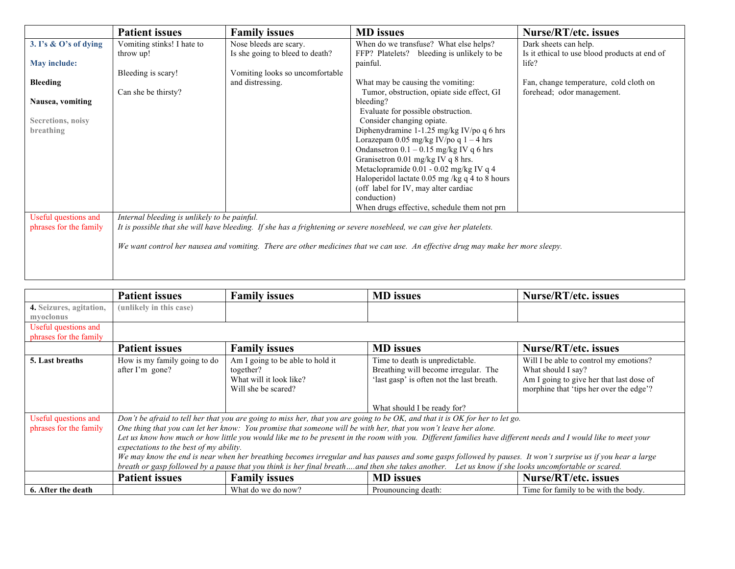|                        | <b>Patient issues</b>                                                                                                           | <b>Family issues</b>                                      | <b>MD</b> issues                                                                        | <b>Nurse/RT/etc. issues</b>                                            |
|------------------------|---------------------------------------------------------------------------------------------------------------------------------|-----------------------------------------------------------|-----------------------------------------------------------------------------------------|------------------------------------------------------------------------|
| 3. I's & O's of dying  | Vomiting stinks! I hate to<br>throw up!                                                                                         | Nose bleeds are scary.<br>Is she going to bleed to death? | When do we transfuse? What else helps?<br>FFP? Platelets?<br>bleeding is unlikely to be | Dark sheets can help.<br>Is it ethical to use blood products at end of |
| <b>May include:</b>    |                                                                                                                                 |                                                           | painful.                                                                                | life?                                                                  |
|                        | Bleeding is scary!                                                                                                              | Vomiting looks so uncomfortable                           |                                                                                         |                                                                        |
| Bleeding               |                                                                                                                                 | and distressing.                                          | What may be causing the vomiting:                                                       | Fan, change temperature, cold cloth on                                 |
|                        | Can she be thirsty?                                                                                                             |                                                           | Tumor, obstruction, opiate side effect, GI<br>bleeding?                                 | forehead; odor management.                                             |
| Nausea, vomiting       |                                                                                                                                 |                                                           | Evaluate for possible obstruction.                                                      |                                                                        |
| Secretions, noisy      |                                                                                                                                 |                                                           | Consider changing opiate.                                                               |                                                                        |
| breathing              |                                                                                                                                 |                                                           | Diphenydramine 1-1.25 mg/kg IV/po q 6 hrs                                               |                                                                        |
|                        |                                                                                                                                 |                                                           | Lorazepam 0.05 mg/kg IV/po q $1 - 4$ hrs                                                |                                                                        |
|                        |                                                                                                                                 |                                                           | Ondansetron $0.1 - 0.15$ mg/kg IV q 6 hrs                                               |                                                                        |
|                        |                                                                                                                                 |                                                           | Granisetron 0.01 mg/kg IV q 8 hrs.                                                      |                                                                        |
|                        |                                                                                                                                 |                                                           | Metaclopramide 0.01 - 0.02 mg/kg IV q 4                                                 |                                                                        |
|                        |                                                                                                                                 |                                                           | Haloperidol lactate 0.05 mg /kg q 4 to 8 hours                                          |                                                                        |
|                        |                                                                                                                                 |                                                           | (off label for IV, may alter cardiac                                                    |                                                                        |
|                        |                                                                                                                                 |                                                           | conduction)<br>When drugs effective, schedule them not prn                              |                                                                        |
| Useful questions and   | Internal bleeding is unlikely to be painful.                                                                                    |                                                           |                                                                                         |                                                                        |
| phrases for the family | It is possible that she will have bleeding. If she has a frightening or severe nosebleed, we can give her platelets.            |                                                           |                                                                                         |                                                                        |
|                        |                                                                                                                                 |                                                           |                                                                                         |                                                                        |
|                        | We want control her nausea and vomiting. There are other medicines that we can use. An effective drug may make her more sleepy. |                                                           |                                                                                         |                                                                        |
|                        |                                                                                                                                 |                                                           |                                                                                         |                                                                        |
|                        |                                                                                                                                 |                                                           |                                                                                         |                                                                        |
|                        |                                                                                                                                 |                                                           |                                                                                         |                                                                        |

|                                                | <b>Patient issues</b>                                                                                                                                                                                                                                                                                                                                                                                                                                                                                                          | <b>Family issues</b>                                                                            | <b>MD</b> issues                                                                                                     | Nurse/RT/etc. issues                                                                                                                                |
|------------------------------------------------|--------------------------------------------------------------------------------------------------------------------------------------------------------------------------------------------------------------------------------------------------------------------------------------------------------------------------------------------------------------------------------------------------------------------------------------------------------------------------------------------------------------------------------|-------------------------------------------------------------------------------------------------|----------------------------------------------------------------------------------------------------------------------|-----------------------------------------------------------------------------------------------------------------------------------------------------|
| 4. Seizures, agitation,<br>myoclonus           | (unlikely in this case)                                                                                                                                                                                                                                                                                                                                                                                                                                                                                                        |                                                                                                 |                                                                                                                      |                                                                                                                                                     |
| Useful questions and<br>phrases for the family |                                                                                                                                                                                                                                                                                                                                                                                                                                                                                                                                |                                                                                                 |                                                                                                                      |                                                                                                                                                     |
|                                                | <b>Patient issues</b>                                                                                                                                                                                                                                                                                                                                                                                                                                                                                                          | <b>Family issues</b>                                                                            | <b>MD</b> issues                                                                                                     | Nurse/RT/etc. issues                                                                                                                                |
| 5. Last breaths                                | How is my family going to do<br>after I'm gone?                                                                                                                                                                                                                                                                                                                                                                                                                                                                                | Am I going to be able to hold it<br>together?<br>What will it look like?<br>Will she be scared? | Time to death is unpredictable.<br>Breathing will become irregular. The<br>'last gasp' is often not the last breath. | Will I be able to control my emotions?<br>What should I say?<br>Am I going to give her that last dose of<br>morphine that 'tips her over the edge'? |
|                                                |                                                                                                                                                                                                                                                                                                                                                                                                                                                                                                                                |                                                                                                 | What should I be ready for?                                                                                          |                                                                                                                                                     |
| Useful questions and                           | Don't be afraid to tell her that you are going to miss her, that you are going to be OK, and that it is OK for her to let go.                                                                                                                                                                                                                                                                                                                                                                                                  |                                                                                                 |                                                                                                                      |                                                                                                                                                     |
| phrases for the family                         |                                                                                                                                                                                                                                                                                                                                                                                                                                                                                                                                |                                                                                                 | One thing that you can let her know: You promise that someone will be with her, that you won't leave her alone.      |                                                                                                                                                     |
|                                                | Let us know how much or how little you would like me to be present in the room with you. Different families have different needs and I would like to meet your<br>expectations to the best of my ability.<br>We may know the end is near when her breathing becomes irregular and has pauses and some gasps followed by pauses. It won't surprise us if you hear a large<br>breath or gasp followed by a pause that you think is her final breathand then she takes another. Let us know if she looks uncomfortable or scared. |                                                                                                 |                                                                                                                      |                                                                                                                                                     |
|                                                | <b>Patient issues</b>                                                                                                                                                                                                                                                                                                                                                                                                                                                                                                          | <b>Family issues</b>                                                                            | <b>MD</b> issues                                                                                                     | Nurse/RT/etc. issues                                                                                                                                |
| 6. After the death                             |                                                                                                                                                                                                                                                                                                                                                                                                                                                                                                                                | What do we do now?                                                                              | Prounouncing death:                                                                                                  | Time for family to be with the body.                                                                                                                |